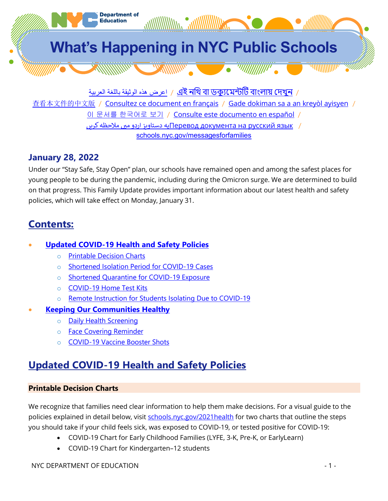

اعرض هذه الوثیقة باللغة العربیة  $\,$  / এই নথি বা ডক্যমেন্টটি বাংলায় দেখুন  $\,$  /

[查看本文件的中文版](http://schools.nyc.gov/messagesforfamilies) / [Consultez ce document en français](http://schools.nyc.gov/messagesforfamilies) / [Gade dokiman sa a an kreyòl ayisyen](http://schools.nyc.gov/messagesforfamilies) /

이 문서를 [한국어로](http://schools.nyc.gov/messagesforfamilies) 보기 / [Consulte este documento en español](http://schools.nyc.gov/messagesforfamilies) /

به دستاويز اردو میں ملاحظه ک $\P$ еревод [документа](http://schools.nyc.gov/messagesforfamilies) на русский язык /

[schools.nyc.gov/messagesforfamilies](http://schools.nyc.gov/messagesforfamilies)

### **January 28, 2022**

Under our "Stay Safe, Stay Open" plan, our schools have remained open and among the safest places for young people to be during the pandemic, including during the Omicron surge. We are determined to build on that progress. This Family Update provides important information about our latest health and safety policies, which will take effect on Monday, January 31.

## **Contents:**

### • **Updated COVID-19 Health and Safety Policies**

- o [Printable Decision Charts](#page-0-0)
- o [Shortened Isolation Period for COVID-19 Cases](#page-1-0)
- o [Shortened Quarantine for COVID-19 Exposure](#page-1-1)
- o [COVID-19 Home Test Kits](#page-2-0)
- o [Remote Instruction for Students Isolating Due to COVID-19](#page-2-1)
- **[Keeping Our Communities Healthy](#page-2-2)**
	- o [Daily Health Screening](#page-2-3)
	- o [Face Covering Reminder](#page-2-4)
	- o [COVID-19 Vaccine Booster Shots](#page-2-5)

# **Updated COVID-19 Health and Safety Policies**

#### <span id="page-0-0"></span>**Printable Decision Charts**

We recognize that families need clear information to help them make decisions. For a visual guide to the policies explained in detail below, visit [schools.nyc.gov/2021health](https://www.schools.nyc.gov/2021health) for two charts that outline the steps you should take if your child feels sick, was exposed to COVID-19, or tested positive for COVID-19:

- COVID-19 Chart for Early Childhood Families (LYFE, 3-K, Pre-K, or EarlyLearn)
- COVID-19 Chart for Kindergarten–12 students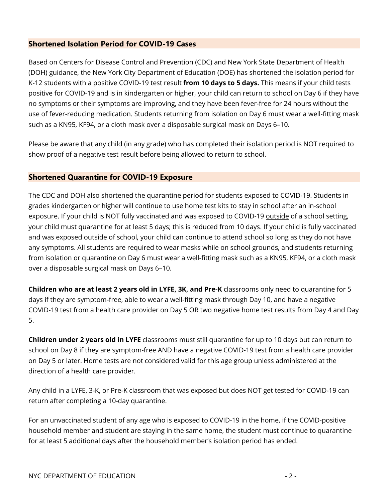#### <span id="page-1-0"></span>**Shortened Isolation Period for COVID-19 Cases**

Based on Centers for Disease Control and Prevention (CDC) and New York State Department of Health (DOH) guidance, the New York City Department of Education (DOE) has shortened the isolation period for K-12 students with a positive COVID-19 test result **from 10 days to 5 days.** This means if your child tests positive for COVID-19 and is in kindergarten or higher, your child can return to school on Day 6 if they have no symptoms or their symptoms are improving, and they have been fever-free for 24 hours without the use of fever-reducing medication. Students returning from isolation on Day 6 must wear a well-fitting mask such as a KN95, KF94, or a cloth mask over a disposable surgical mask on Days 6–10.

Please be aware that any child (in any grade) who has completed their isolation period is NOT required to show proof of a negative test result before being allowed to return to school.

#### <span id="page-1-1"></span>**Shortened Quarantine for COVID-19 Exposure**

The CDC and DOH also shortened the quarantine period for students exposed to COVID-19. Students in grades kindergarten or higher will continue to use home test kits to stay in school after an in-school exposure. If your child is NOT fully vaccinated and was exposed to COVID-19 outside of a school setting, your child must quarantine for at least 5 days; this is reduced from 10 days. If your child is fully vaccinated and was exposed outside of school, your child can continue to attend school so long as they do not have any symptoms. All students are required to wear masks while on school grounds, and students returning from isolation or quarantine on Day 6 must wear a well-fitting mask such as a KN95, KF94, or a cloth mask over a disposable surgical mask on Days 6–10.

**Children who are at least 2 years old in LYFE, 3K, and Pre-K** classrooms only need to quarantine for 5 days if they are symptom-free, able to wear a well-fitting mask through Day 10, and have a negative COVID-19 test from a health care provider on Day 5 OR two negative home test results from Day 4 and Day 5.

**Children under 2 years old in LYFE** classrooms must still quarantine for up to 10 days but can return to school on Day 8 if they are symptom-free AND have a negative COVID-19 test from a health care provider on Day 5 or later. Home tests are not considered valid for this age group unless administered at the direction of a health care provider.

Any child in a LYFE, 3-K, or Pre-K classroom that was exposed but does NOT get tested for COVID-19 can return after completing a 10-day quarantine.

For an unvaccinated student of any age who is exposed to COVID-19 in the home, if the COVID-positive household member and student are staying in the same home, the student must continue to quarantine for at least 5 additional days after the household member's isolation period has ended.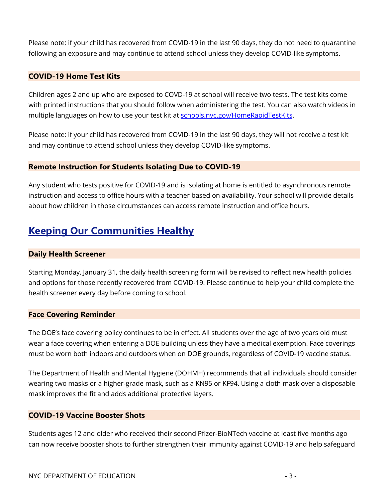Please note: if your child has recovered from COVID-19 in the last 90 days, they do not need to quarantine following an exposure and may continue to attend school unless they develop COVID-like symptoms.

#### <span id="page-2-0"></span>**COVID-19 Home Test Kits**

Children ages 2 and up who are exposed to COVD-19 at school will receive two tests. The test kits come with printed instructions that you should follow when administering the test. You can also watch videos in multiple languages on how to use your test kit at [schools.nyc.gov/HomeRapidTestKits.](https://www.schools.nyc.gov/HomeRapidTestKits)

Please note: if your child has recovered from COVID-19 in the last 90 days, they will not receive a test kit and may continue to attend school unless they develop COVID-like symptoms.

#### **Remote Instruction for Students Isolating Due to COVID-19**

Any student who tests positive for COVID-19 and is isolating at home is entitled to asynchronous remote instruction and access to office hours with a teacher based on availability. Your school will provide details about how children in those circumstances can access remote instruction and office hours.

## <span id="page-2-2"></span>**Keeping Our Communities Healthy**

#### <span id="page-2-3"></span>**Daily Health Screener**

Starting Monday, January 31, the daily health screening form will be revised to reflect new health policies and options for those recently recovered from COVID-19. Please continue to help your child complete the health screener every day before coming to school.

#### <span id="page-2-4"></span>**Face Covering Reminder**

The DOE's face covering policy continues to be in effect. All students over the age of two years old must wear a face covering when entering a DOE building unless they have a medical exemption. Face coverings must be worn both indoors and outdoors when on DOE grounds, regardless of COVID-19 vaccine status.

The Department of Health and Mental Hygiene (DOHMH) recommends that all individuals should consider wearing two masks or a higher-grade mask, such as a KN95 or KF94. Using a cloth mask over a disposable mask improves the fit and adds additional protective layers.

#### <span id="page-2-5"></span><span id="page-2-1"></span>**COVID-19 Vaccine Booster Shots**

Students ages 12 and older who received their second Pfizer-BioNTech vaccine at least five months ago can now receive booster shots to further strengthen their immunity against COVID-19 and help safeguard